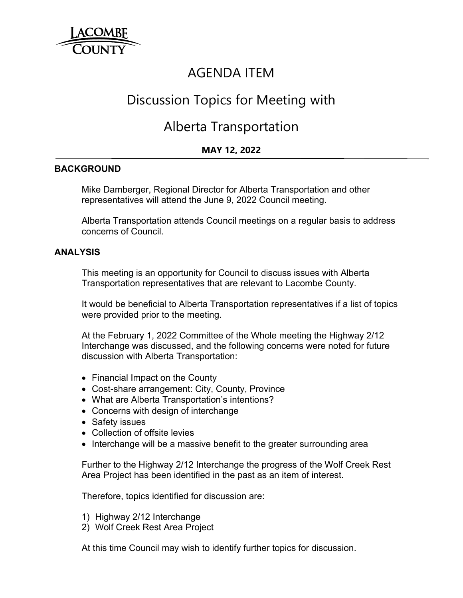

## AGENDA ITEM

# Discussion Topics for Meeting with

## Alberta Transportation

### **MAY 12, 2022**

#### **BACKGROUND**

Mike Damberger, Regional Director for Alberta Transportation and other representatives will attend the June 9, 2022 Council meeting.

Alberta Transportation attends Council meetings on a regular basis to address concerns of Council.

#### **ANALYSIS**

 This meeting is an opportunity for Council to discuss issues with Alberta Transportation representatives that are relevant to Lacombe County.

 It would be beneficial to Alberta Transportation representatives if a list of topics were provided prior to the meeting.

 At the February 1, 2022 Committee of the Whole meeting the Highway 2/12 Interchange was discussed, and the following concerns were noted for future discussion with Alberta Transportation:

- Financial Impact on the County
- Cost-share arrangement: City, County, Province
- What are Alberta Transportation's intentions?
- Concerns with design of interchange
- Safety issues
- Collection of offsite levies
- Interchange will be a massive benefit to the greater surrounding area

Further to the Highway 2/12 Interchange the progress of the Wolf Creek Rest Area Project has been identified in the past as an item of interest.

Therefore, topics identified for discussion are:

- 1) Highway 2/12 Interchange
- 2) Wolf Creek Rest Area Project

At this time Council may wish to identify further topics for discussion.